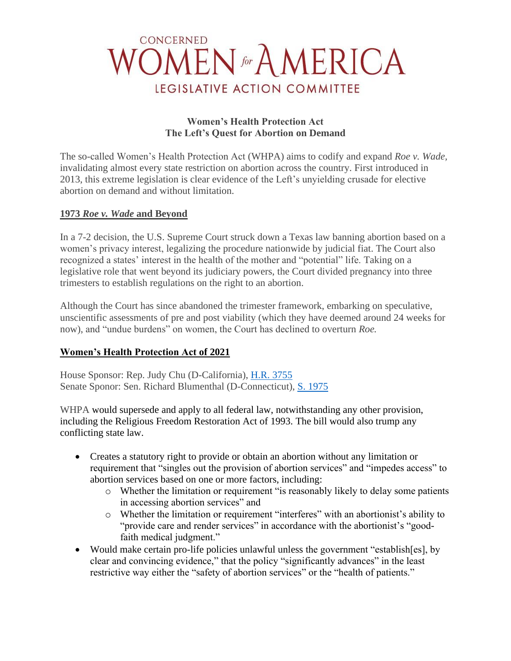## CONCERNED MEN for A MERICA LEGISLATIVE ACTION COMMITTEE

#### **Women's Health Protection Act The Left's Quest for Abortion on Demand**

The so-called Women's Health Protection Act (WHPA) aims to codify and expand *Roe v. Wade,* invalidating almost every state restriction on abortion across the country. First introduced in 2013, this extreme legislation is clear evidence of the Left's unyielding crusade for elective abortion on demand and without limitation.

### **1973** *Roe v. Wade* **and Beyond**

In a 7-2 decision, the U.S. Supreme Court struck down a Texas law banning abortion based on a women's privacy interest, legalizing the procedure nationwide by judicial fiat. The Court also recognized a states' interest in the health of the mother and "potential" life. Taking on a legislative role that went beyond its judiciary powers, the Court divided pregnancy into three trimesters to establish regulations on the right to an abortion.

Although the Court has since abandoned the trimester framework, embarking on speculative, unscientific assessments of pre and post viability (which they have deemed around 24 weeks for now), and "undue burdens" on women, the Court has declined to overturn *Roe.*

## **Women's Health Protection Act of 2021**

House Sponsor: Rep. Judy Chu (D-California), [H.R. 3755](https://www.congress.gov/bill/117th-congress/house-bill/3755) Senate Sponor: Sen. Richard Blumenthal (D-Connecticut), S. [1975](https://www.congress.gov/bill/117th-congress/senate-bill/1975/text)

WHPA would supersede and apply to all federal law, notwithstanding any other provision, including the Religious Freedom Restoration Act of 1993. The bill would also trump any conflicting state law.

- Creates a statutory right to provide or obtain an abortion without any limitation or requirement that "singles out the provision of abortion services" and "impedes access" to abortion services based on one or more factors, including:
	- o Whether the limitation or requirement "is reasonably likely to delay some patients in accessing abortion services" and
	- o Whether the limitation or requirement "interferes" with an abortionist's ability to "provide care and render services" in accordance with the abortionist's "goodfaith medical judgment."
- Would make certain pro-life policies unlawful unless the government "establish [es], by clear and convincing evidence," that the policy "significantly advances" in the least restrictive way either the "safety of abortion services" or the "health of patients."